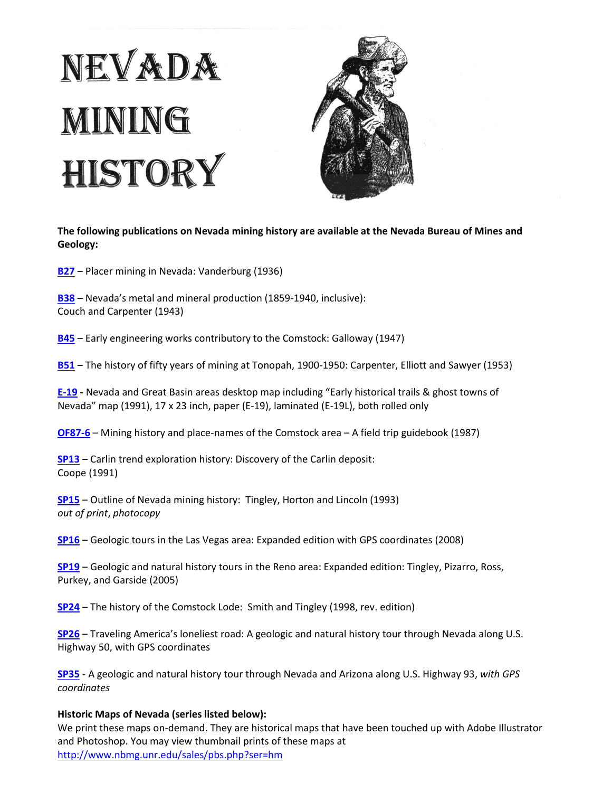## NEVADA MINING HISTORY



**The following publications on Nevada mining history are available at the Nevada Bureau of Mines and Geology:**

**[B27](http://www.nbmg.unr.edu/sales/pbsdtls.php?sku=B%2027)** – Placer mining in Nevada: Vanderburg (1936)

**[B38](http://www.nbmg.unr.edu/sales/pbsdtls.php?sku=B%2038)** – Nevada's metal and mineral production (1859-1940, inclusive): Couch and Carpenter (1943)

**[B45](http://www.nbmg.unr.edu/sales/pbsdtls.php?sku=B%2045)** – Early engineering works contributory to the Comstock: Galloway (1947)

**[B51](http://www.nbmg.unr.edu/sales/pbsdtls.php?sku=B%2051)** – The history of fifty years of mining at Tonopah, 1900-1950: Carpenter, Elliott and Sawyer (1953)

**[E-19](http://www.nbmg.unr.edu/sales/pbsdtls.php?sku=E-19) -** Nevada and Great Basin areas desktop map including "Early historical trails & ghost towns of Nevada" map (1991), 17 x 23 inch, paper (E-19), laminated (E-19L), both rolled only

**[OF87-6](http://www.nbmg.unr.edu/sales/pbsdtls.php?sku=OF%2087-6)** – Mining history and place-names of the Comstock area – A field trip guidebook (1987)

**[SP13](http://www.nbmg.unr.edu/sales/pbsdtls.php?sku=SP13)** – Carlin trend exploration history: Discovery of the Carlin deposit: Coope (1991)

**[SP15](http://www.nbmg.unr.edu/sales/pbsdtls.php?sku=SP15)** – Outline of Nevada mining history: Tingley, Horton and Lincoln (1993) *out of print*, *photocopy*

**[SP16](http://www.nbmg.unr.edu/sales/pbsdtls.php?sku=SP16)** – Geologic tours in the Las Vegas area: Expanded edition with GPS coordinates (2008)

**[SP19](http://www.nbmg.unr.edu/sales/pbsdtls.php?sku=SP19)** – Geologic and natural history tours in the Reno area: Expanded edition: Tingley, Pizarro, Ross, Purkey, and Garside (2005)

**[SP24](http://www.nbmg.unr.edu/sales/pbsdtls.php?sku=SP24)** – The history of the Comstock Lode: Smith and Tingley (1998, rev. edition)

**[SP26](http://www.nbmg.unr.edu/sales/pbsdtls.php?sku=SP26)** – Traveling America's loneliest road: A geologic and natural history tour through Nevada along U.S. Highway 50, with GPS coordinates

**[SP35](http://www.nbmg.unr.edu/sales/pbsdtls.php?sku=SP35)** - A geologic and natural history tour through Nevada and Arizona along U.S. Highway 93, *with GPS coordinates*

## **Historic Maps of Nevada (series listed below):**

We print these maps on-demand. They are historical maps that have been touched up with Adobe Illustrator and Photoshop. You may view thumbnail prints of these maps at <http://www.nbmg.unr.edu/sales/pbs.php?ser=hm>